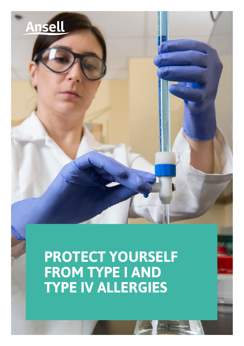

**PROTECT YOURSELF FROM TYPE I AND TYPE IV ALLERGIES**

oor,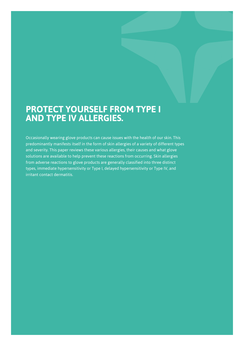# **PROTECT YOURSELF FROM TYPE I AND TYPE IV ALLERGIES.**

Occasionally wearing glove products can cause issues with the health of our skin. This predominantly manifests itself in the form of skin allergies of a variety of different types and severity. This paper reviews these various allergies, their causes and what glove solutions are available to help prevent these reactions from occurring. Skin allergies from adverse reactions to glove products are generally classified into three distinct types, immediate hypersensitivity or Type I, delayed hypersensitivity or Type IV, and irritant contact dermatitis.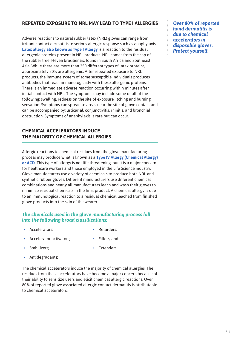## **REPEATED EXPOSURE TO NRL MAY LEAD TO TYPE I ALLERGIES**

Adverse reactions to natural rubber latex (NRL) gloves can range from irritant contact dermatitis to serious allergic response such as anaphylaxis. **Latex allergy also known as Type I Allergy** is a reaction to the residual allergenic proteins present in NRL products. NRL comes from the sap of the rubber tree, Hevea brasiliensis, found in South Africa and Southeast Asia. While there are more than 250 different types of latex proteins, approximately 20% are allergenic. After repeated exposure to NRL products, the immune system of some susceptible individuals produces antibodies that react immunologically with these allergenic proteins. There is an immediate adverse reaction occurring within minutes after initial contact with NRL. The symptoms may include some or all of the following: swelling, redness on the site of exposure, itching and burning sensation. Symptoms can spread to areas near the site of glove contact and can be accompanied by: urticarial, conjunctivitis, rhinitis, and bronchial obstruction. Symptoms of anaphylaxis is rare but can occur.

## **CHEMICAL ACCELERATORS INDUCE THE MAJORITY OF CHEMICAL ALLERGIES**

Allergic reactions to chemical residues from the glove manufacturing process may produce what is known as a **Type IV Allergy (Chemical Allergy) or ACD**. This type of allergy is not life threatening, but it is a major concern for healthcare workers and those employed in the Life Science industry. Glove manufacturers use a variety of chemicals to produce both NRL and synthetic rubber gloves. Different manufacturers use different chemical combinations and nearly all manufacturers leach and wash their gloves to minimize residual chemicals in the final product. A chemical allergy is due to an immunological reaction to a residual chemical leached from finished glove products into the skin of the wearer.

#### *The chemicals used in the glove manufacturing process fall into the following broad classifications:*

• Accelerators;

• Stabilizers;

Retarders:

Fillers; and

- Accelerator activators;
- Extenders.
- Antidegradants;

The chemical accelerators induce the majority of chemical allergies. The residues from these accelerators have become a major concern because of their ability to sensitize users and elicit chemical allergic reactions. Over 80% of reported glove associated allergic contact dermatitis is attributable to chemical accelerators.

*Over 80% of reported hand dermatitis is due to chemical accelerators in disposable gloves. Protect yourself.*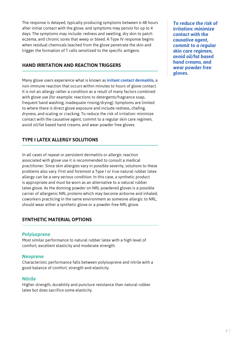The response is delayed, typically producing symptoms between 6-48 hours after initial contact with the glove, and symptoms may persist for up to 4 days. The symptoms may include: redness and swelling, dry skin to patch eczema, and chronic sores that weep or bleed. A Type IV response begins when residual chemicals leached from the glove penetrate the skin and trigger the formation of T cells sensitized to the specific antigens.

# **HAND IRRITATION AND REACTION TRIGGERS**

Many glove users experience what is known as **irritant contact dermatitis**, a non-immune reaction that occurs within minutes to hours of glove contact. It is not an allergy rather a condition as a result of many factors combined with glove use (for example: reactions to detergents/fragrance soap, frequent hand washing, inadequate rinsing/drying). Symptoms are limited to where there is direct glove exposure and include redness, chafing, dryness, and scaling or cracking. To reduce the risk of irritation: minimize contact with the causative agent, commit to a regular skin care regimen, avoid oil/fat based hand creams, and wear powder free gloves.

# **TYPE I LATEX ALLERGY SOLUTIONS**

In all cases of repeat or persistent dermatitis or allergic reaction associated with glove use it is recommended to consult a medical practitioner. Since skin allergies vary in possible severity, solutions to these problems also vary. First and foremost a Type I or true natural rubber latex allergy can be a very serious condition. In this case, a synthetic product is appropriate and must be worn as an alternative to a natural rubber latex glove. As the donning powder on NRL powdered gloves is a possible carrier of allergenic NRL proteins which may become airborne and inhaled, coworkers practicing in the same environment as someone allergic to NRL, should wear either a synthetic glove or a powder-free NRL glove.

# **SYNTHETIC MATERIAL OPTIONS**

#### *Polyisoprene*

Most similar performance to natural rubber latex with a high level of comfort, excellent elasticity and moderate strength.

#### *Neoprene*

Characteristic performance falls between polyisoprene and nitrile with a good balance of comfort, strength and elasticity.

#### *Nitrile*

Higher strength, durability and puncture resistance than natural rubber latex but does sacrifice some elasticity.

*To reduce the risk of irritation: minimize contact with the causative agent, commit to a regular skin care regimen, avoid oil/fat based hand creams, and wear powder free gloves.*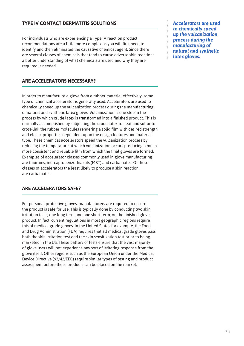# **TYPE IV CONTACT DERMATITIS SOLUTIONS**

For individuals who are experiencing a Type IV reaction product recommendations are a little more complex as you will first need to identify and then eliminated the causative chemical agent. Since there are several classes of chemicals that tend to cause adverse skin reactions a better understanding of what chemicals are used and why they are required is needed.

**ARE ACCELERATORS NECESSARY?** 

In order to manufacture a glove from a rubber material effectively, some type of chemical accelerator is generally used. Accelerators are used to chemically speed up the vulcanization process during the manufacturing of natural and synthetic latex gloves. Vulcanization is one step in the process by which crude latex is transformed into a finished product. This is normally accomplished by subjecting the crude latex to heat and sulfur to cross-link the rubber molecules rendering a solid film with desired strength and elastic properties dependent upon the design features and material type. These chemical accelerators speed the vulcanization process by reducing the temperature at which vulcanization occurs producing a much more consistent and reliable film from which the final gloves are formed. Examples of accelerator classes commonly used in glove manufacturing are thiurams, mercaptobenzothiazols (MBT) and carbamates. Of these classes of accelerators the least likely to produce a skin reaction are carbamates.

#### **ARE ACCELERATORS SAFE?**

For personal protective gloves, manufacturers are required to ensure the product is safe for use. This is typically done by conducting two skin irritation tests, one long term and one short term, on the finished glove product. In fact, current regulations in most geographic regions require this of medical grade gloves. In the United States for example, the Food and Drug Administration (FDA) requires that all medical grade gloves pass both the skin irritation test and the skin sensitization test prior to being marketed in the US. These battery of tests ensure that the vast majority of glove users will not experience any sort of irritating response from the glove itself. Other regions such as the European Union under the Medical Device Directive (93/42/EEC) require similar types of testing and product assessment before those products can be placed on the market.

*Accelerators are used to chemically speed up the vulcanization process during the manufacturing of natural and synthetic latex gloves.*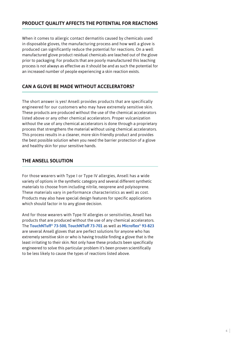# **PRODUCT QUALITY AFFECTS THE POTENTIAL FOR REACTIONS**

When it comes to allergic contact dermatitis caused by chemicals used in disposable gloves, the manufacturing process and how well a glove is produced can significantly reduce the potential for reactions. On a well manufactured glove product residual chemicals are leached out of the glove prior to packaging. For products that are poorly manufactured this leaching process is not always as effective as it should be and as such the potential for an increased number of people experiencing a skin reaction exists.

# **CAN A GLOVE BE MADE WITHOUT ACCELERATORS?**

The short answer is yes! Ansell provides products that are specifically engineered for our customers who may have extremely sensitive skin. These products are produced without the use of the chemical accelerators listed above or any other chemical accelerators. Proper vulcanization without the use of any chemical accelerators is done through a proprietary process that strengthens the material without using chemical accelerators. This process results in a cleaner, more skin-friendly product and provides the best possible solution when you need the barrier protection of a glove and healthy skin for your sensitive hands.

# **THE ANSELL SOLUTION**

For those wearers with Type I or Type IV allergies, Ansell has a wide variety of options in the synthetic category and several different synthetic materials to choose from including nitrile, neoprene and polyisoprene. These materials vary in performance characteristics as well as cost. Products may also have special design features for specific applications which should factor in to any glove decision.

And for those wearers with Type IV allergies or sensitivities, Ansell has products that are produced without the use of any chemical accelerators. The **TouchNTuff® 73-500, TouchNTuff 73-701** as well as **Microflex® 93-823** are several Ansell gloves that are perfect solutions for anyone who has extremely sensitive skin or who is having trouble finding a glove that is the least irritating to their skin. Not only have these products been specifically engineered to solve this particular problem it's been proven scientifically to be less likely to cause the types of reactions listed above.